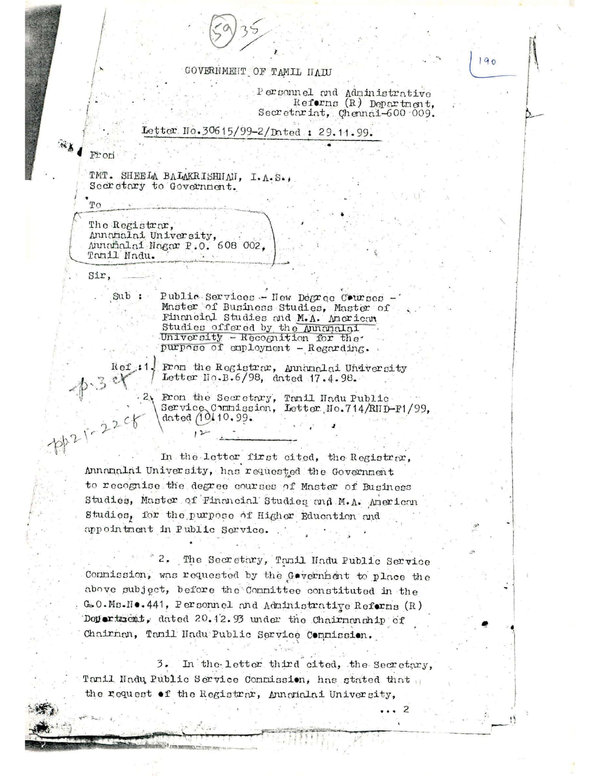## GOVERNMENT OF TAMIL NAIU

Personnel and Administrative Reforms (R) Department, Secretariat, Chennai-600.009.

## Letter No.30615/99-2/Dated : 29.11.99.

Fron

 $TQ$ 

TMT. SHEELA BALAKRISHMAN, I.A.S., Secretary to Government.

The Registrar, Annamalai University, Annamalai Nagar P.O. 608 002, Tanil Nadu.

Sir,

Public Services - New Degree Courses  $Sub:$ Master of Business Studies, Master of Financial Studies and M.A. American Studies offered by the Annanalai University - Recognition for the purpose of employment - Regarding.

 $Ref:1$ . From the Registrar, Annanalai University Letter No.B.6/98, dated 17.4.98.

> From the Secretary, Tanil Nadu Public<br>Service Commission, Letter No.714/RND-F1/99, dated (10.10.99.

 $8.34$ In the letter first cited, the Registrar, Annamalai University, has requested the Government to recognise the degree courses of Master of Business Studies, Master of Financial Studies and M.A. American Studies, for the purpose of Higher Education and appointment in Public Service.

> 2. The Secretary, Tanil Nadu Public Service Connission, was requested by the Government to place the above subject, before the Committee constituted in the G.O.Ms.No. 441, Personnel and Administrative Reforms (R) Doperturent, dated 20.12.93 under the Chairmonship of Chairman, Tamil Nadu Public Service Commission.

> In the letter third cited, the Secretary,  $3.$ Tanil Nadu Public Service Connission, has stated that the request of the Registrar, Annanalai University,

> > $\overline{z}$

 $190$